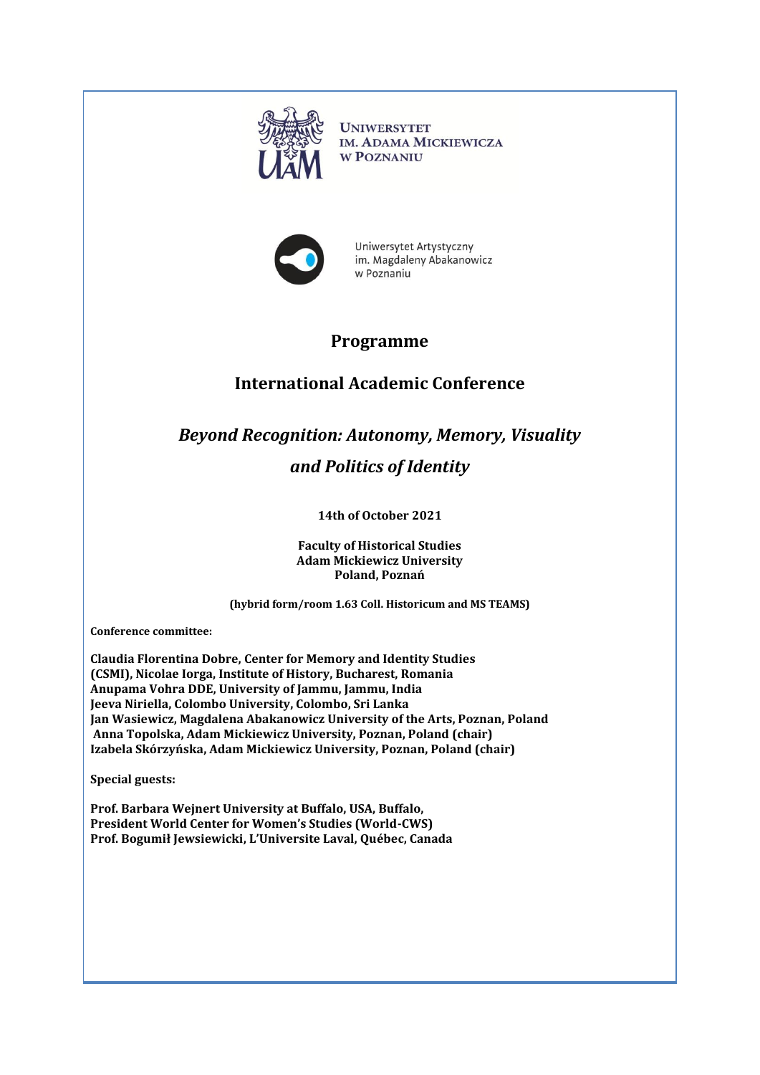

**UNIWERSYTET IM. ADAMA MICKIEWICZA W POZNANIU** 



Uniwersytet Artystyczny im. Magdaleny Abakanowicz w Poznaniu

## **Programme**

## **International Academic Conference**

## *Beyond Recognition: Autonomy, Memory, Visuality and Politics of Identity*

## **14th of October 2021**

**Faculty of Historical Studies Adam Mickiewicz University Poland, Poznań** 

**(hybrid form/room 1.63 Coll. Historicum and MS TEAMS)**

**Conference committee:**

**Claudia Florentina Dobre, Center for Memory and Identity Studies (CSMI), Nicolae Iorga, Institute of History, Bucharest, Romania Anupama Vohra DDE, University of Jammu, Jammu, India Jeeva Niriella, Colombo University, Colombo, Sri Lanka Jan Wasiewicz, Magdalena Abakanowicz University of the Arts, Poznan, Poland Anna Topolska, Adam Mickiewicz University, Poznan, Poland (chair) Izabela Skórzyńska, Adam Mickiewicz University, Poznan, Poland (chair)**

**Special guests:**

**Prof. Barbara Wejnert University at Buffalo, USA, Buffalo, President [World Center for Women's Studies \(World](http://world-cws.com/)-CWS) Prof. Bogumił Jewsiewicki, L'Universite Laval, Québec, Canada**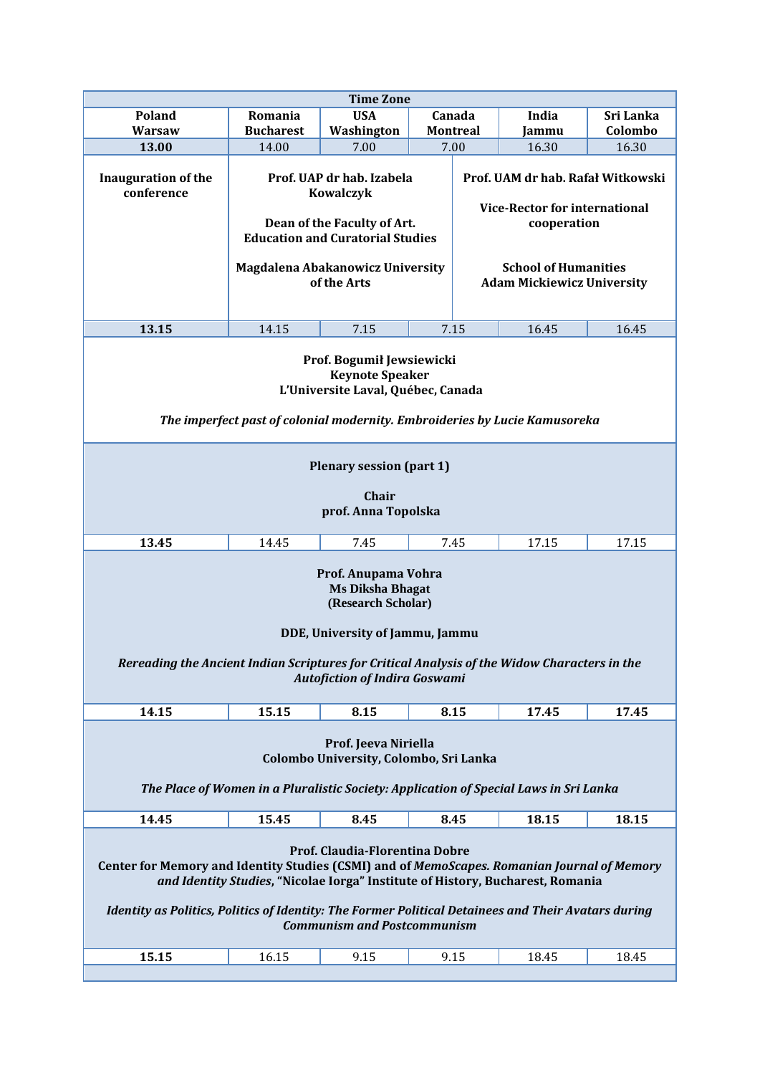| <b>Time Zone</b>                                                                                                                                                                                                                                                                                                                                             |                                                 |                                                                                                                         |  |                                                                                                  |                |                  |  |
|--------------------------------------------------------------------------------------------------------------------------------------------------------------------------------------------------------------------------------------------------------------------------------------------------------------------------------------------------------------|-------------------------------------------------|-------------------------------------------------------------------------------------------------------------------------|--|--------------------------------------------------------------------------------------------------|----------------|------------------|--|
| Poland                                                                                                                                                                                                                                                                                                                                                       | Romania<br><b>Bucharest</b>                     | <b>USA</b>                                                                                                              |  | Canada                                                                                           | India          | Sri Lanka        |  |
| Warsaw<br>13.00                                                                                                                                                                                                                                                                                                                                              | 14.00                                           | Washington<br>7.00                                                                                                      |  | <b>Montreal</b>                                                                                  | Jammu<br>16.30 | Colombo<br>16.30 |  |
| <b>Inauguration of the</b><br>conference                                                                                                                                                                                                                                                                                                                     |                                                 | Prof. UAP dr hab. Izabela<br><b>Kowalczyk</b><br>Dean of the Faculty of Art.<br><b>Education and Curatorial Studies</b> |  | 7.00<br>Prof. UAM dr hab. Rafał Witkowski<br><b>Vice-Rector for international</b><br>cooperation |                |                  |  |
|                                                                                                                                                                                                                                                                                                                                                              | Magdalena Abakanowicz University<br>of the Arts |                                                                                                                         |  | <b>School of Humanities</b><br><b>Adam Mickiewicz University</b>                                 |                |                  |  |
| 13.15                                                                                                                                                                                                                                                                                                                                                        | 14.15                                           | 7.15                                                                                                                    |  | 7.15                                                                                             | 16.45          | 16.45            |  |
| Prof. Bogumił Jewsiewicki<br><b>Keynote Speaker</b><br>L'Universite Laval, Québec, Canada<br>The imperfect past of colonial modernity. Embroideries by Lucie Kamusoreka<br><b>Plenary session (part 1)</b><br>Chair                                                                                                                                          |                                                 |                                                                                                                         |  |                                                                                                  |                |                  |  |
| prof. Anna Topolska<br>17.15<br>13.45<br>14.45<br>7.45<br>17.15<br>7.45                                                                                                                                                                                                                                                                                      |                                                 |                                                                                                                         |  |                                                                                                  |                |                  |  |
| Prof. Anupama Vohra<br><b>Ms Diksha Bhagat</b><br>(Research Scholar)<br>DDE, University of Jammu, Jammu<br>Rereading the Ancient Indian Scriptures for Critical Analysis of the Widow Characters in the<br><b>Autofiction of Indira Goswami</b>                                                                                                              |                                                 |                                                                                                                         |  |                                                                                                  |                |                  |  |
| 14.15                                                                                                                                                                                                                                                                                                                                                        | 15.15                                           | 8.15                                                                                                                    |  | 8.15                                                                                             | 17.45          | 17.45            |  |
| Prof. Jeeva Niriella<br>Colombo University, Colombo, Sri Lanka<br>The Place of Women in a Pluralistic Society: Application of Special Laws in Sri Lanka                                                                                                                                                                                                      |                                                 |                                                                                                                         |  |                                                                                                  |                |                  |  |
| 14.45                                                                                                                                                                                                                                                                                                                                                        | 15.45                                           | 8.45                                                                                                                    |  | 8.45                                                                                             | 18.15          | 18.15            |  |
| Prof. Claudia-Florentina Dobre<br>Center for Memory and Identity Studies (CSMI) and of MemoScapes. Romanian Journal of Memory<br>and Identity Studies, "Nicolae Iorga" Institute of History, Bucharest, Romania<br>Identity as Politics, Politics of Identity: The Former Political Detainees and Their Avatars during<br><b>Communism and Postcommunism</b> |                                                 |                                                                                                                         |  |                                                                                                  |                |                  |  |
| 15.15                                                                                                                                                                                                                                                                                                                                                        | 16.15                                           | 9.15                                                                                                                    |  | 9.15                                                                                             | 18.45          | 18.45            |  |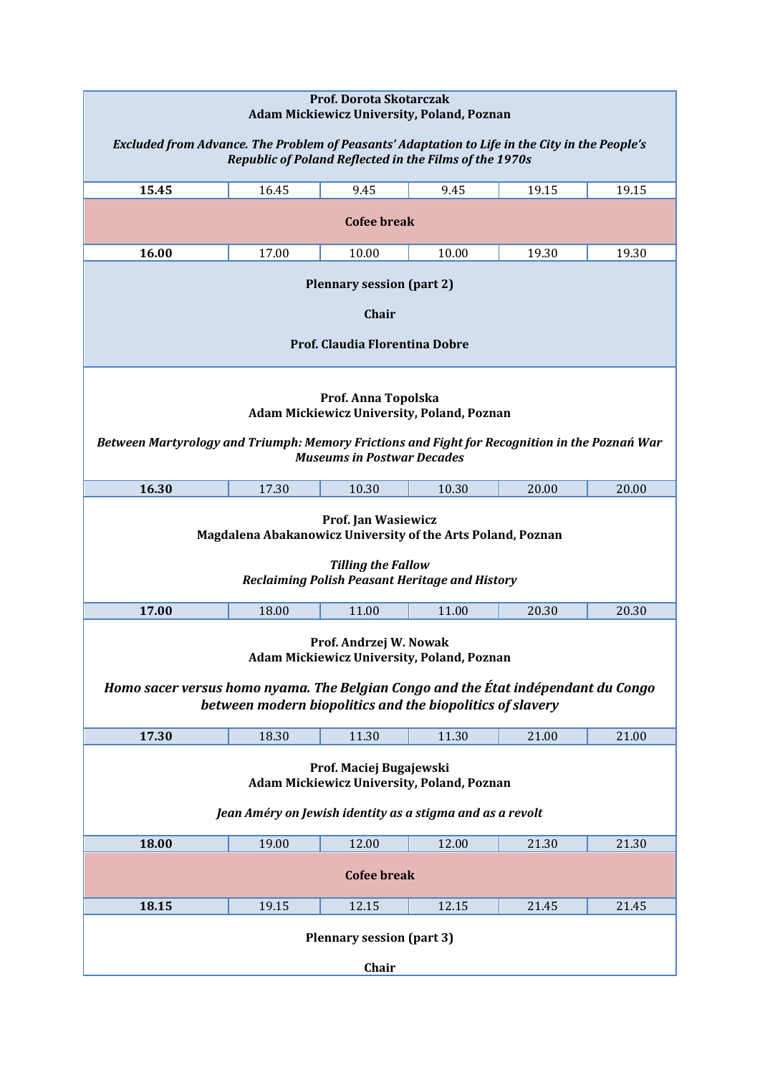| Prof. Dorota Skotarczak<br><b>Adam Mickiewicz University, Poland, Poznan</b><br>Excluded from Advance. The Problem of Peasants' Adaptation to Life in the City in the People's<br>Republic of Poland Reflected in the Films of the 1970s |       |       |       |       |       |  |  |
|------------------------------------------------------------------------------------------------------------------------------------------------------------------------------------------------------------------------------------------|-------|-------|-------|-------|-------|--|--|
| 15.45                                                                                                                                                                                                                                    | 16.45 | 9.45  | 9.45  | 19.15 | 19.15 |  |  |
| <b>Cofee break</b>                                                                                                                                                                                                                       |       |       |       |       |       |  |  |
| 16.00                                                                                                                                                                                                                                    | 17.00 | 10.00 | 10.00 | 19.30 | 19.30 |  |  |
| <b>Plennary session (part 2)</b><br>Chair<br>Prof. Claudia Florentina Dobre                                                                                                                                                              |       |       |       |       |       |  |  |
| Prof. Anna Topolska<br><b>Adam Mickiewicz University, Poland, Poznan</b><br>Between Martyrology and Triumph: Memory Frictions and Fight for Recognition in the Poznań War<br><b>Museums in Postwar Decades</b>                           |       |       |       |       |       |  |  |
| 16.30                                                                                                                                                                                                                                    | 17.30 | 10.30 | 10.30 | 20.00 | 20.00 |  |  |
| <b>Prof. Jan Wasiewicz</b><br>Magdalena Abakanowicz University of the Arts Poland, Poznan<br><b>Tilling the Fallow</b><br>Reclaiming Polish Peasant Heritage and History                                                                 |       |       |       |       |       |  |  |
| 17.00                                                                                                                                                                                                                                    | 18.00 | 11.00 | 11.00 | 20.30 | 20.30 |  |  |
| Prof. Andrzej W. Nowak<br>Adam Mickiewicz University, Poland, Poznan<br>Homo sacer versus homo nyama. The Belgian Congo and the État indépendant du Congo<br>between modern biopolitics and the biopolitics of slavery                   |       |       |       |       |       |  |  |
| 17.30                                                                                                                                                                                                                                    | 18.30 | 11.30 | 11.30 | 21.00 | 21.00 |  |  |
| Prof. Maciej Bugajewski<br><b>Adam Mickiewicz University, Poland, Poznan</b><br>Jean Améry on Jewish identity as a stigma and as a revolt                                                                                                |       |       |       |       |       |  |  |
| 18.00                                                                                                                                                                                                                                    | 19.00 | 12.00 | 12.00 | 21.30 | 21.30 |  |  |
| <b>Cofee break</b>                                                                                                                                                                                                                       |       |       |       |       |       |  |  |
| 18.15                                                                                                                                                                                                                                    | 19.15 | 12.15 | 12.15 | 21.45 | 21.45 |  |  |
| <b>Plennary session (part 3)</b><br>Chair                                                                                                                                                                                                |       |       |       |       |       |  |  |